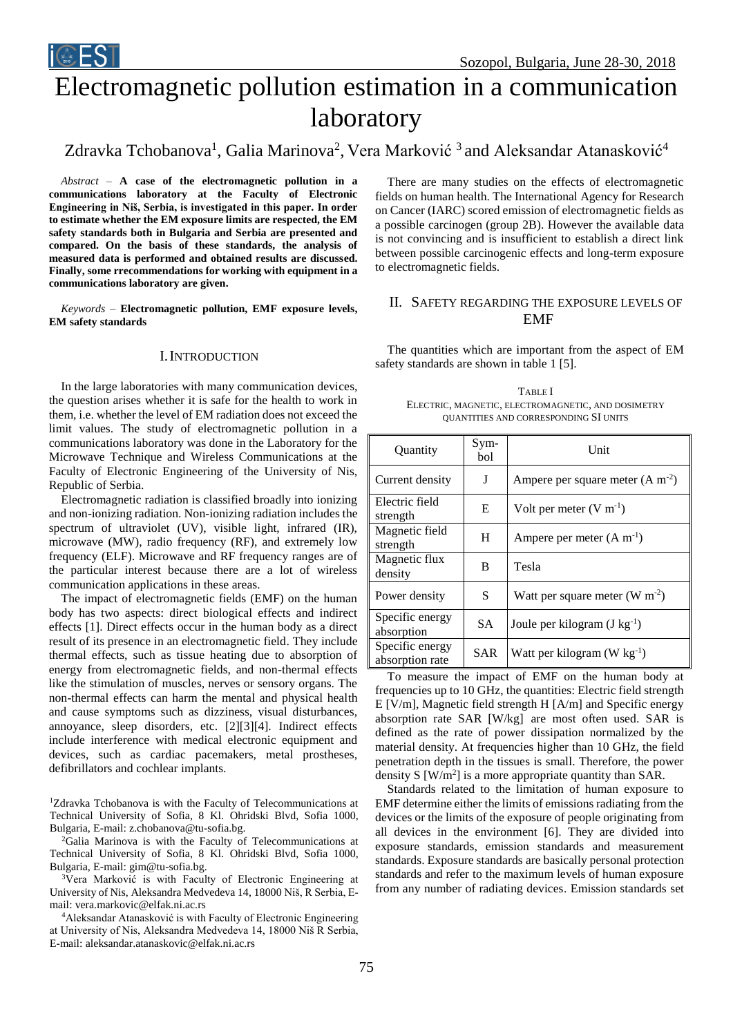# Electromagnetic pollution estimation in a communication laboratory

Zdravka Tchobanova<sup>1</sup>, Galia Marinova<sup>2</sup>, Vera Marković <sup>3</sup> and Aleksandar Atanasković<sup>4</sup>

*Abstract –* **A case of the electromagnetic pollution in a communications laboratory at the Faculty of Electronic Engineering in Niš, Serbia, is investigated in this paper. In order to estimate whether the EM exposure limits are respected, the EM safety standards both in Bulgaria and Serbia are presented and compared. On the basis of these standards, the analysis of measured data is performed and obtained results are discussed. Finally, some rrecommendations for working with equipment in a communications laboratory are given.** 

*Keywords –* **Electromagnetic pollution, EMF exposure levels, EM safety standards** 

## I.INTRODUCTION

In the large laboratories with many communication devices, the question arises whether it is safe for the health to work in them, i.e. whether the level of EM radiation does not exceed the limit values. The study of electromagnetic pollution in a communications laboratory was done in the Laboratory for the Microwave Technique and Wireless Communications at the Faculty of Electronic Engineering of the University of Nis, Republic of Serbia.

Electromagnetic radiation is classified broadly into ionizing and non-ionizing radiation. Non-ionizing radiation includes the spectrum of ultraviolet (UV), visible light, infrared (IR), microwave (MW), radio frequency (RF), and extremely low frequency (ELF). Microwave and RF frequency ranges are of the particular interest because there are a lot of wireless communication applications in these areas.

The impact of electromagnetic fields (EMF) on the human body has two aspects: direct biological effects and indirect effects [1]. Direct effects occur in the human body as a direct result of its presence in an electromagnetic field. They include thermal effects, such as tissue heating due to absorption of energy from electromagnetic fields, and non-thermal effects like the stimulation of muscles, nerves or sensory organs. The non-thermal effects can harm the mental and physical health and cause symptoms such as dizziness, visual disturbances, annoyance, sleep disorders, etc. [2][3][4]. Indirect effects include interference with medical electronic equipment and devices, such as cardiac pacemakers, metal prostheses, defibrillators and cochlear implants.

<sup>1</sup>Zdravka Tchobanova is with the Faculty of Telecommunications at Technical University of Sofia, 8 Kl. Ohridski Blvd, Sofia 1000, Bulgaria, E-mail: z.chobanova@tu-sofia.bg.

<sup>2</sup>Galia Marinova is with the Faculty of Telecommunications at Technical University of Sofia, 8 Kl. Ohridski Blvd, Sofia 1000, Bulgaria, E-mail: gim@tu-sofia.bg.

<sup>3</sup>Vera Marković is with Faculty of Electronic Engineering at University of Nis, Aleksandra Medvedeva 14, 18000 Niš, R Serbia, Email: vera.markovic@elfak.ni.ac.rs

<sup>4</sup>Aleksandar Atanasković is with Faculty of Electronic Engineering at University of Nis, Aleksandra Medvedeva 14, 18000 Niš R Serbia, E-mail: aleksandar.atanaskovic@elfak.ni.ac.rs

There are many studies on the effects of electromagnetic fields on human health. The International Agency for Research on Cancer (IARC) scored emission of electromagnetic fields as a possible carcinogen (group 2B). However the available data is not convincing and is insufficient to establish a direct link between possible carcinogenic effects and long-term exposure to electromagnetic fields.

## II. SAFETY REGARDING THE EXPOSURE LEVELS OF EMF

The quantities which are important from the aspect of EM safety standards are shown in table 1 [5].

TABLE I ELECTRIC, MAGNETIC, ELECTROMAGNETIC, AND DOSIMETRY QUANTITIES AND CORRESPONDING SI UNITS

| Quantity                           | Sym-<br>bol | Unit                                     |  |  |
|------------------------------------|-------------|------------------------------------------|--|--|
| Current density                    | J           | Ampere per square meter $(A m-2)$        |  |  |
| Electric field<br>strength         | E           | Volt per meter $(V m^{-1})$              |  |  |
| Magnetic field<br>strength         | H           | Ampere per meter $(A m^{-1})$            |  |  |
| Magnetic flux<br>density           | B           | Tesla                                    |  |  |
| Power density                      | S           | Watt per square meter $(W m^{-2})$       |  |  |
| Specific energy<br>absorption      | <b>SA</b>   | Joule per kilogram $(J \text{ kg}^{-1})$ |  |  |
| Specific energy<br>absorption rate | <b>SAR</b>  | Watt per kilogram (W $kg^{-1}$ )         |  |  |

To measure the impact of EMF on the human body at frequencies up to 10 GHz, the quantities: Electric field strength E [V/m], Magnetic field strength H [A/m] and Specific energy absorption rate SAR [W/kg] are most often used. SAR is defined as the rate of power dissipation normalized by the material density. At frequencies higher than 10 GHz, the field penetration depth in the tissues is small. Therefore, the power density  $S$  [W/m<sup>2</sup>] is a more appropriate quantity than SAR.

Standards related to the limitation of human exposure to EMF determine either the limits of emissions radiating from the devices or the limits of the exposure of people originating from all devices in the environment [\[6\].](#page-3-0) They are divided into exposure standards, emission standards and measurement standards. Exposure standards are basically personal protection standards and refer to the maximum levels of human exposure from any number of radiating devices. Emission standards set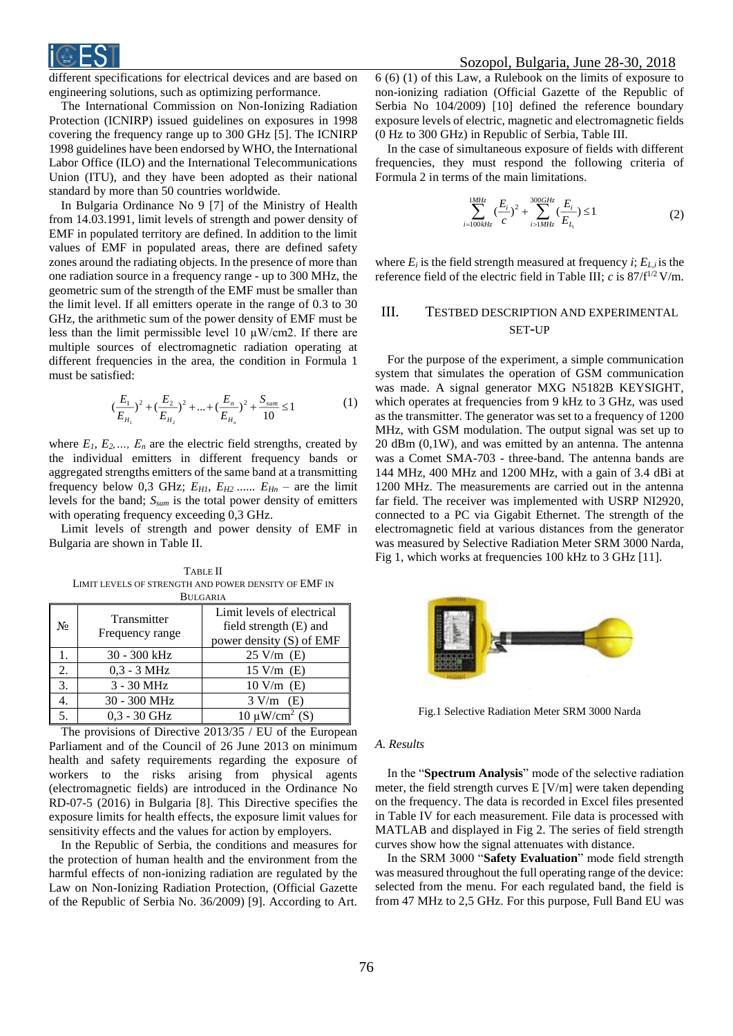

different specifications for electrical devices and are based on engineering solutions, such as optimizing performance.

The International Commission on Non-Ionizing Radiation Protection (ICNIRP) issued [guidelines on exposures in 1998](http://www.emfs.info/limits/limits-organisations/icnirp-1998/) covering the frequency range up to 300 GHz [\[5\].](#page-3-2) The ICNIRP 1998 guidelines have been endorsed by WHO, the International Labor Office (ILO) and the International Telecommunications Union (ITU), and they have been adopted as their national standard by more than 50 countries worldwide.

In Bulgaria Ordinance No 9 [\[7\]](#page-3-1) of the Ministry of Health from 14.03.1991, limit levels of strength and power density of EMF in populated territory are defined. In addition to the limit values of EMF in populated areas, there are defined safety zones around the radiating objects. In the presence of more than one radiation source in a frequency range - up to 300 MHz, the geometric sum of the strength of the EMF must be smaller than the limit level. If all emitters operate in the range of 0.3 to 30 GHz, the arithmetic sum of the power density of EMF must be less than the limit permissible level 10  $\mu$ W/cm2. If there are multiple sources of electromagnetic radiation operating at different frequencies in the area, the condition in Formula 1 must be satisfied:

$$
\left(\frac{E_1}{E_{H_1}}\right)^2 + \left(\frac{E_2}{E_{H_2}}\right)^2 + \dots + \left(\frac{E_n}{E_{H_n}}\right)^2 + \frac{S_{sum}}{10} \le 1\tag{1}
$$

where  $E_1, E_2, \ldots, E_n$  are the electric field strengths, created by the individual emitters in different frequency bands or aggregated strengths emitters of the same band at a transmitting frequency below 0,3 GHz;  $E_{H1}$ ,  $E_{H2}$  ......  $E_{Hn}$  – are the limit levels for the band; *Ssum* is the total power density of emitters with operating frequency exceeding 0,3 GHz.

Limit levels of strength and power density of EMF in Bulgaria are shown in Table II.

TABLE II LIMIT LEVELS OF STRENGTH AND POWER DENSITY OF EMF IN BULGARIA

| $N_2$ | Transmitter<br>Frequency range | Limit levels of electrical<br>field strength (E) and<br>power density (S) of EMF |  |  |  |  |  |
|-------|--------------------------------|----------------------------------------------------------------------------------|--|--|--|--|--|
|       | 30 - 300 kHz                   | $25 \text{ V/m}$ (E)                                                             |  |  |  |  |  |
| 2.    | $0,3 - 3$ MHz                  | $15$ V/m $(E)$                                                                   |  |  |  |  |  |
| 3.    | $3 - 30$ MHz                   | $10$ V/m $(E)$                                                                   |  |  |  |  |  |
|       | 30 - 300 MHz                   | $3 \text{ V/m}$ (E)                                                              |  |  |  |  |  |
|       | $0,3 - 30$ GHz                 | $10 \mu W/cm^2$ (S)                                                              |  |  |  |  |  |
|       |                                |                                                                                  |  |  |  |  |  |

The provisions of Directive 2013/35 / EU of the European Parliament and of the Council of 26 June 2013 on minimum health and safety requirements regarding the exposure of workers to the risks arising from physical agents (electromagnetic fields) are introduced in the Ordinance No RD-07-5 (2016) in Bulgaria [8]. This Directive specifies the exposure limits for health effects, the exposure limit values for sensitivity effects and the values for action by employers.

In the Republic of Serbia, the conditions and measures for the protection of human health and the environment from the harmful effects of non-ionizing radiation are regulated by the Law on Non-Ionizing Radiation Protection, (Official Gazette of the Republic of Serbia No. 36/2009) [9]. According to Art.

6 (6) (1) of this Law, a Rulebook on the limits of exposure to non-ionizing radiation (Official Gazette of the Republic of Serbia No 104/2009) [10] defined the reference boundary exposure levels of electric, magnetic and electromagnetic fields (0 Hz to 300 GHz) in Republic of Serbia, Table III.

In the case of simultaneous exposure of fields with different frequencies, they must respond the following criteria of Formula 2 in terms of the main limitations.

$$
\sum_{i=100kHz}^{1MHz} \left(\frac{E_i}{c}\right)^2 + \sum_{i>1MHz}^{300GHz} \left(\frac{E_i}{E_{L_i}}\right) \le 1
$$
 (2)

where  $E_i$  is the field strength measured at frequency  $i$ ;  $E_{L,i}$  is the reference field of the electric field in Table III;  $c$  is  $87/f^{1/2}$  V/m.

# III. TESTBED DESCRIPTION AND EXPERIMENTAL SET-UP

For the purpose of the experiment, a simple communication system that simulates the operation of GSM communication was made. A signal generator MXG N5182B KEYSIGHT, which operates at frequencies from 9 kHz to 3 GHz, was used as the transmitter. The generator was set to a frequency of 1200 MHz, with GSM modulation. The output signal was set up to 20 dBm (0,1W), and was emitted by an antenna. The antenna was a Comet SMA-703 - three-band. The antenna bands are 144 MHz, 400 MHz and 1200 MHz, with a gain of 3.4 dBi at 1200 MHz. The measurements are carried out in the antenna far field. The receiver was implemented with USRP NI2920, connected to a PC via Gigabit Ethernet. The strength of the electromagnetic field at various distances from the generator was measured by Selective Radiation Meter SRM 3000 Narda, Fig 1, which works at frequencies 100 kHz to 3 GHz [11].



Fig.1 Selective Radiation Meter SRM 3000 Narda

#### *A. Results*

In the "**Spectrum Analysis**" mode of the selective radiation meter, the field strength curves E [V/m] were taken depending on the frequency. The data is recorded in Excel files presented in Table IV for each measurement. File data is processed with MATLAB and displayed in Fig 2. The series of field strength curves show how the signal attenuates with distance.

In the SRM 3000 "**Safety Evaluation**" mode field strength was measured throughout the full operating range of the device: selected from the menu. For each regulated band, the field is from 47 MHz to 2,5 GHz. For this purpose, Full Band EU was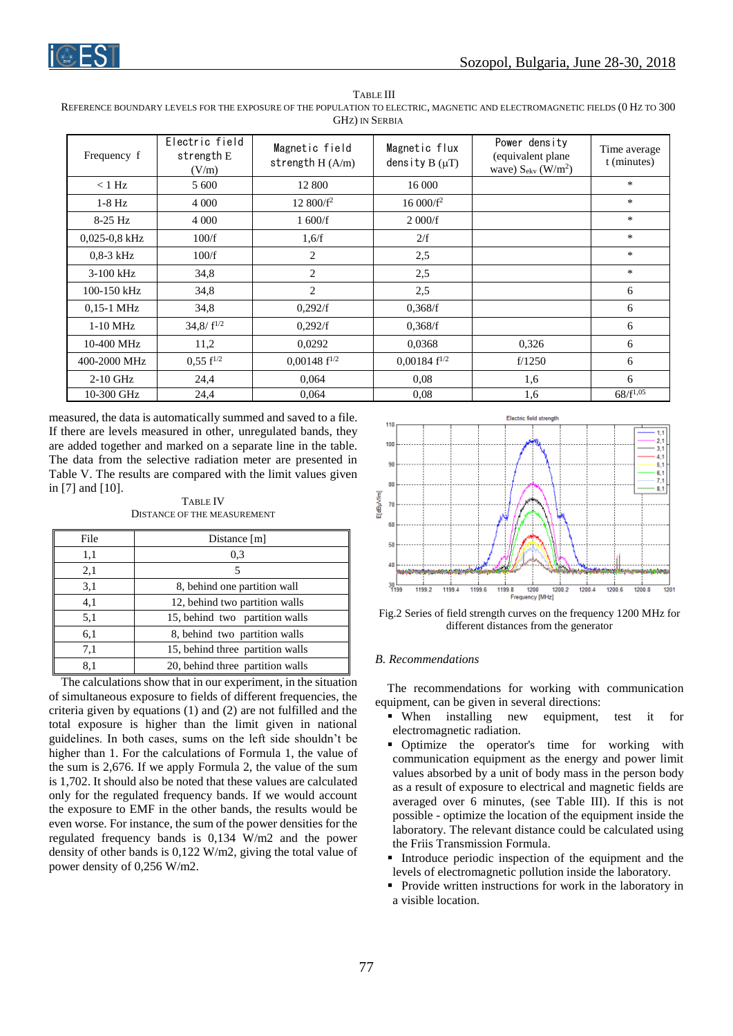

TABLE III REFERENCE BOUNDARY LEVELS FOR THE EXPOSURE OF THE POPULATION TO ELECTRIC, MAGNETIC AND ELECTROMAGNETIC FIELDS (0 HZ TO 300 GHZ) IN SERBIA

| Frequency f       | Electric field<br>strength $E$<br>(V/m) | Magnetic field<br>strength $H(A/m)$ | Magnetic flux<br>density $B(\mu T)$ | Power density<br>(equivalent plane)<br>wave) $S_{\rm ekv}$ (W/m <sup>2</sup> ) | Time average<br>t (minutes) |
|-------------------|-----------------------------------------|-------------------------------------|-------------------------------------|--------------------------------------------------------------------------------|-----------------------------|
| $<$ 1 Hz          | 5 600                                   | 12 800                              | 16 000                              |                                                                                | *                           |
| $1-8$ Hz          | 4 0 0 0                                 | $12\,800/f^2$                       | $16000/f^2$                         |                                                                                | *                           |
| $8-25$ Hz         | 4 0 0 0                                 | 1600/f                              | 2000/f                              |                                                                                | *                           |
| $0.025 - 0.8$ kHz | 100/f                                   | 1,6/f                               | 2/f                                 |                                                                                | $\ast$                      |
| $0.8-3$ kHz       | 100/f                                   | 2                                   | 2,5                                 |                                                                                | *                           |
| $3-100$ kHz       | 34,8                                    | 2                                   | 2,5                                 |                                                                                | *                           |
| 100-150 kHz       | 34,8                                    | $\overline{2}$                      | 2,5                                 |                                                                                | 6                           |
| $0,15-1$ MHz      | 34,8                                    | 0,292/f                             | 0,368/f                             |                                                                                | 6                           |
| $1-10$ MHz        | $34,8/ f^{1/2}$                         | 0,292/f                             | 0,368/f                             |                                                                                | 6                           |
| 10-400 MHz        | 11,2                                    | 0.0292                              | 0,0368                              | 0,326                                                                          | 6                           |
| 400-2000 MHz      | $0.55 f^{1/2}$                          | $0,00148$ f <sup>1/2</sup>          | $0,00184$ f <sup>1/2</sup>          | f/1250                                                                         | 6                           |
| $2-10$ GHz        | 24,4                                    | 0,064                               | 0.08                                | 1,6                                                                            | 6                           |
| 10-300 GHz        | 24,4                                    | 0.064                               | 0.08                                | 1,6                                                                            | $68/f^{1,05}$               |

measured, the data is automatically summed and saved to a file. If there are levels measured in other, unregulated bands, they are added together and marked on a separate line in the table. The data from the selective radiation meter are presented in Table V. The results are compared with the limit values given in [\[7\]](#page-3-1) and [\[10\].](#page-3-3)

#### TABLE IV DISTANCE OF THE MEASUREMENT

| File | Distance $[m]$                   |
|------|----------------------------------|
| 1,1  | 0.3                              |
| 2,1  | 5                                |
| 3,1  | 8, behind one partition wall     |
| 4,1  | 12, behind two partition walls   |
| 5,1  | 15, behind two partition walls   |
| 6,1  | 8, behind two partition walls    |
| 7,1  | 15, behind three partition walls |
| 8.1  | 20, behind three partition walls |

The calculations show that in our experiment, in the situation of simultaneous exposure to fields of different frequencies, the criteria given by equations (1) and (2) are not fulfilled and the total exposure is higher than the limit given in national guidelines. In both cases, sums on the left side shouldn't be higher than 1. For the calculations of Formula 1, the value of the sum is 2,676. If we apply Formula 2, the value of the sum is 1,702. It should also be noted that these values are calculated only for the regulated frequency bands. If we would account the exposure to EMF in the other bands, the results would be even worse. For instance, the sum of the power densities for the regulated frequency bands is 0,134 W/m2 and the power density of other bands is 0,122 W/m2, giving the total value of power density of 0,256 W/m2.



Fig.2 Series of field strength curves on the frequency 1200 MHz for different distances from the generator

## *B. Recommendations*

The recommendations for working with communication equipment, can be given in several directions:

- When installing new equipment, test it for electromagnetic radiation.
- Optimize the operator's time for working with communication equipment as the energy and power limit values absorbed by a unit of body mass in the person body as a result of exposure to electrical and magnetic fields are averaged over 6 minutes, (see Table III). If this is not possible - optimize the location of the equipment inside the laboratory. The relevant distance could be calculated using the Friis Transmission Formula.
- Introduce periodic inspection of the equipment and the levels of electromagnetic pollution inside the laboratory.
- **Provide written instructions for work in the laboratory in** a visible location.